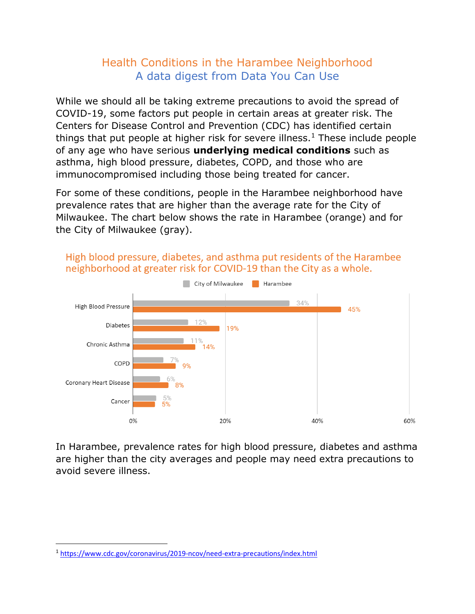## Health Conditions in the Harambee Neighborhood A data digest from Data You Can Use

While we should all be taking extreme precautions to avoid the spread of COVID-19, some factors put people in certain areas at greater risk. The Centers for Disease Control and Prevention (CDC) has identified certain things that put people at higher risk for severe illness.<sup>1</sup> These include people of any age who have serious **underlying medical conditions** such as asthma, high blood pressure, diabetes, COPD, and those who are immunocompromised including those being treated for cancer.

For some of these conditions, people in the Harambee neighborhood have prevalence rates that are higher than the average rate for the City of Milwaukee. The chart below shows the rate in Harambee (orange) and for the City of Milwaukee (gray).



High blood pressure, diabetes, and asthma put residents of the Harambee neighborhood at greater risk for COVID-19 than the City as a whole.

In Harambee, prevalence rates for high blood pressure, diabetes and asthma are higher than the city averages and people may need extra precautions to avoid severe illness.

<sup>1</sup> <https://www.cdc.gov/coronavirus/2019-ncov/need-extra-precautions/index.html>